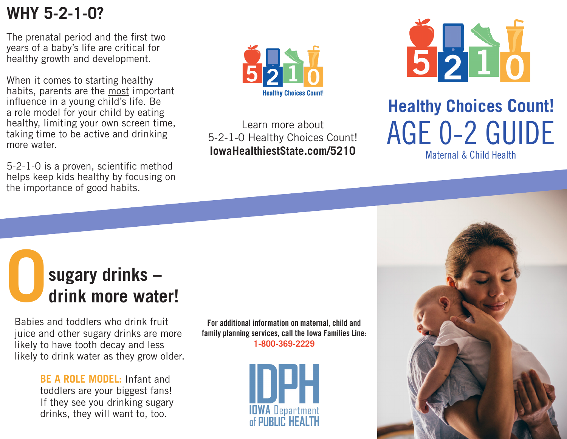## **WHY 5-2-1-0?**

The prenatal period and the first two years of a baby's life are critical for healthy growth and development.

When it comes to starting healthy habits, parents are the most important influence in a young child's life. Be a role model for your child by eating healthy, limiting your own screen time, taking time to be active and drinking more water.

5-2-1-0 is a proven, scientific method helps keep kids healthy by focusing on the importance of good habits.



Learn more about 5-2-1-0 Healthy Choices Count! **IowaHealthiestState.com/5210**



## **Healthy Choices Count!** AGE 0-2 GUIDE

Maternal & Child Health

## sugary drinks –<br>drink more water!

Babies and toddlers who drink fruit juice and other sugary drinks are more likely to have tooth decay and less likely to drink water as they grow older.

> **BE A ROLE MODEL:** Infant and toddlers are your biggest fans! If they see you drinking sugary drinks, they will want to, too.

**For additional information on maternal, child and family planning services, call the Iowa Families Line: 1-800-369-2229**